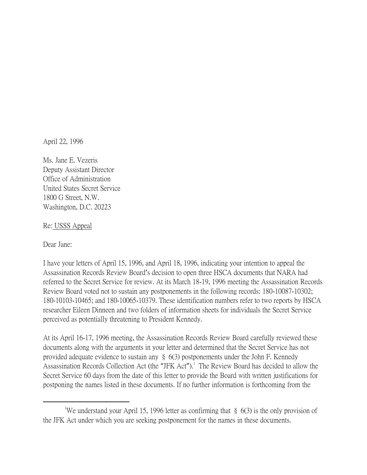April 22, 1996

Ms. Jane E. Vezeris Deputy Assistant Director Office of Administration United States Secret Service 1800 G Street, N.W. Washington, D.C. 20223

Re: USSS Appeal

Dear Jane:

 $\overline{a}$ 

I have your letters of April 15, 1996, and April 18, 1996, indicating your intention to appeal the Assassination Records Review Board's decision to open three HSCA documents that NARA had referred to the Secret Service for review. At its March 18-19, 1996 meeting the Assassination Records Review Board voted not to sustain any postponements in the following records: 180-10087-10302; 180-10103-10465; and 180-10065-10379. These identification numbers refer to two reports by HSCA researcher Eileen Dinneen and two folders of information sheets for individuals the Secret Service perceived as potentially threatening to President Kennedy.

At its April 16-17, 1996 meeting, the Assassination Records Review Board carefully reviewed these documents along with the arguments in your letter and determined that the Secret Service has not provided adequate evidence to sustain any § 6(3) postponements under the John F. Kennedy Assassination Records Collection Act (the "JFK Act").<sup>1</sup> The Review Board has decided to allow the Secret Service 60 days from the date of this letter to provide the Board with written justifications for postponing the names listed in these documents. If no further information is forthcoming from the

<sup>&</sup>lt;sup>1</sup>We understand your April 15, 1996 letter as confirming that  $\S$  6(3) is the only provision of the JFK Act under which you are seeking postponement for the names in these documents.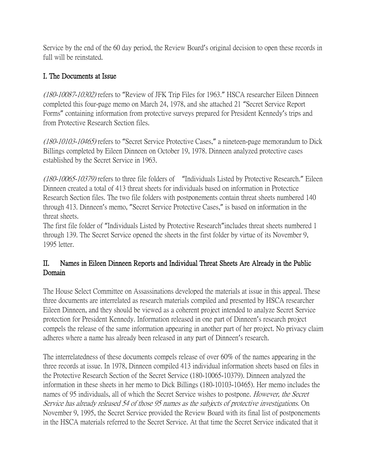Service by the end of the 60 day period, the Review Board's original decision to open these records in full will be reinstated.

## I. The Documents at Issue

(180-10087-10302) refers to "Review of JFK Trip Files for 1963." HSCA researcher Eileen Dinneen completed this four-page memo on March 24, 1978, and she attached 21 "Secret Service Report Forms" containing information from protective surveys prepared for President Kennedy's trips and from Protective Research Section files.

(180-10103-10465) refers to "Secret Service Protective Cases," a nineteen-page memorandum to Dick Billings completed by Eileen Dinneen on October 19, 1978. Dinneen analyzed protective cases established by the Secret Service in 1963.

(180-10065-10379) refers to three file folders of "Individuals Listed by Protective Research." Eileen Dinneen created a total of 413 threat sheets for individuals based on information in Protectice Research Section files. The two file folders with postponements contain threat sheets numbered 140 through 413. Dinneen's memo, "Secret Service Protective Cases," is based on information in the threat sheets.

The first file folder of "Individuals Listed by Protective Research"includes threat sheets numbered 1 through 139. The Secret Service opened the sheets in the first folder by virtue of its November 9, 1995 letter.

## II. Names in Eileen Dinneen Reports and Individual Threat Sheets Are Already in the Public Domain

The House Select Committee on Assassinations developed the materials at issue in this appeal. These three documents are interrelated as research materials compiled and presented by HSCA researcher Eileen Dinneen, and they should be viewed as a coherent project intended to analyze Secret Service protection for President Kennedy. Information released in one part of Dinneen's research project compels the release of the same information appearing in another part of her project. No privacy claim adheres where a name has already been released in any part of Dinneen's research.

The interrelatedness of these documents compels release of over 60% of the names appearing in the three records at issue. In 1978, Dinneen compiled 413 individual information sheets based on files in the Protective Research Section of the Secret Service (180-10065-10379). Dinneen analyzed the information in these sheets in her memo to Dick Billings (180-10103-10465). Her memo includes the names of 95 individuals, all of which the Secret Service wishes to postpone. *However, the Secret* Service has already released 54 of those 95 names as the subjects of protective investigations. On November 9, 1995, the Secret Service provided the Review Board with its final list of postponements in the HSCA materials referred to the Secret Service. At that time the Secret Service indicated that it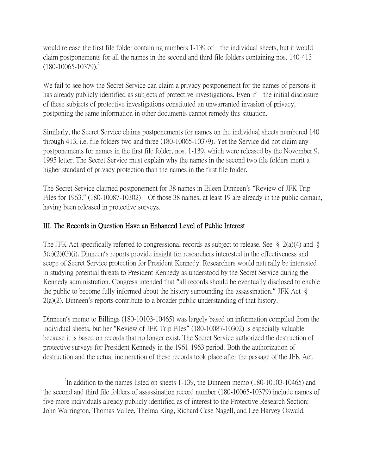would release the first file folder containing numbers 1-139 of the individual sheets, but it would claim postponements for all the names in the second and third file folders containing nos. 140-413  $(180-10065-10379)^2$ 

We fail to see how the Secret Service can claim a privacy postponement for the names of persons it has already publicly identified as subjects of protective investigations. Even if the initial disclosure of these subjects of protective investigations constituted an unwarranted invasion of privacy, postponing the same information in other documents cannot remedy this situation.

Similarly, the Secret Service claims postponements for names on the individual sheets numbered 140 through 413, i.e. file folders two and three (180-10065-10379). Yet the Service did not claim any postponements for names in the first file folder, nos. 1-139, which were released by the November 9, 1995 letter. The Secret Service must explain why the names in the second two file folders merit a higher standard of privacy protection than the names in the first file folder.

The Secret Service claimed postponement for 38 names in Eileen Dinneen's "Review of JFK Trip Files for 1963." (180-10087-10302) Of those 38 names, at least 19 are already in the public domain, having been released in protective surveys.

## III. The Records in Question Have an Enhanced Level of Public Interest

 $\overline{a}$ 

The JFK Act specifically referred to congressional records as subject to release. See § 2(a)(4) and § 5(c)(2)(G)(i). Dinneen's reports provide insight for researchers interested in the effectiveness and scope of Secret Service protection for President Kennedy. Researchers would naturally be interested in studying potential threats to President Kennedy as understood by the Secret Service during the Kennedy administration. Congress intended that "all records should be eventually disclosed to enable the public to become fully informed about the history surrounding the assassination." JFK Act § 2(a)(2). Dinneen's reports contribute to a broader public understanding of that history.

Dinneen's memo to Billings (180-10103-10465) was largely based on information compiled from the individual sheets, but her "Review of JFK Trip Files" (180-10087-10302) is especially valuable because it is based on records that no longer exist. The Secret Service authorized the destruction of protective surveys for President Kennedy in the 1961-1963 period. Both the authorization of destruction and the actual incineration of these records took place after the passage of the JFK Act.

 $2^2$ In addition to the names listed on sheets 1-139, the Dinneen memo (180-10103-10465) and the second and third file folders of assassination record number (180-10065-10379) include names of five more individuals already publicly identified as of interest to the Protective Research Section: John Warrington, Thomas Vallee, Thelma King, Richard Case Nagell, and Lee Harvey Oswald.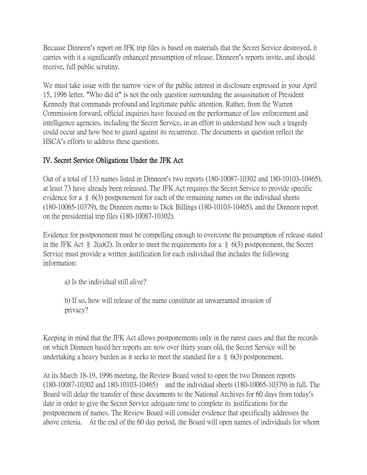Because Dinneen's report on JFK trip files is based on materials that the Secret Service destroyed, it carries with it a significantly enhanced presumption of release. Dinneen's reports invite, and should receive, full public scrutiny.

We must take issue with the narrow view of the public interest in disclosure expressed in your April 15, 1996 letter. "Who did it" is not the only question surrounding the assassination of President Kennedy that commands profound and legitimate public attention. Rather, from the Warren Commission forward, official inquiries have focused on the performance of law enforcement and intelligence agencies, including the Secret Service, in an effort to understand how such a tragedy could occur and how best to guard against its recurrence. The documents in question reflect the HSCA's efforts to address these questions.

## IV. Secret Service Obligations Under the JFK Act

Out of a total of 133 names listed in Dinneen's two reports (180-10087-10302 and 180-10103-10465), at least 73 have already been released. The JFK Act requires the Secret Service to provide specific evidence for a § 6(3) postponement for each of the remaining names on the individual sheets (180-10065-10379), the Dinneen memo to Dick Billings (180-10103-10465), and the Dinneen report on the presidential trip files (180-10087-10302).

Evidence for postponement must be compelling enough to overcome the presumption of release stated in the JFK Act § 2(a)(2). In order to meet the requirements for a § 6(3) postponement, the Secret Service must provide a written justification for each individual that includes the following information:

a) Is the individual still alive?

b) If so, how will release of the name constitute an unwarranted invasion of privacy?

Keeping in mind that the JFK Act allows postponements only in the rarest cases and that the records on which Dinneen based her reports are now over thirty years old, the Secret Service will be undertaking a heavy burden as it seeks to meet the standard for a  $\S$  6(3) postponement.

At its March 18-19, 1996 meeting, the Review Board voted to open the two Dinneen reports (180-10087-10302 and 180-10103-10465) and the individual sheets (180-10065-10379) in full. The Board will delay the transfer of these documents to the National Archives for 60 days from today's date in order to give the Secret Service adequate time to complete its justifications for the postponement of names. The Review Board will consider evidence that specifically addresses the above criteria. At the end of the 60 day period, the Board will open names of individuals for whom